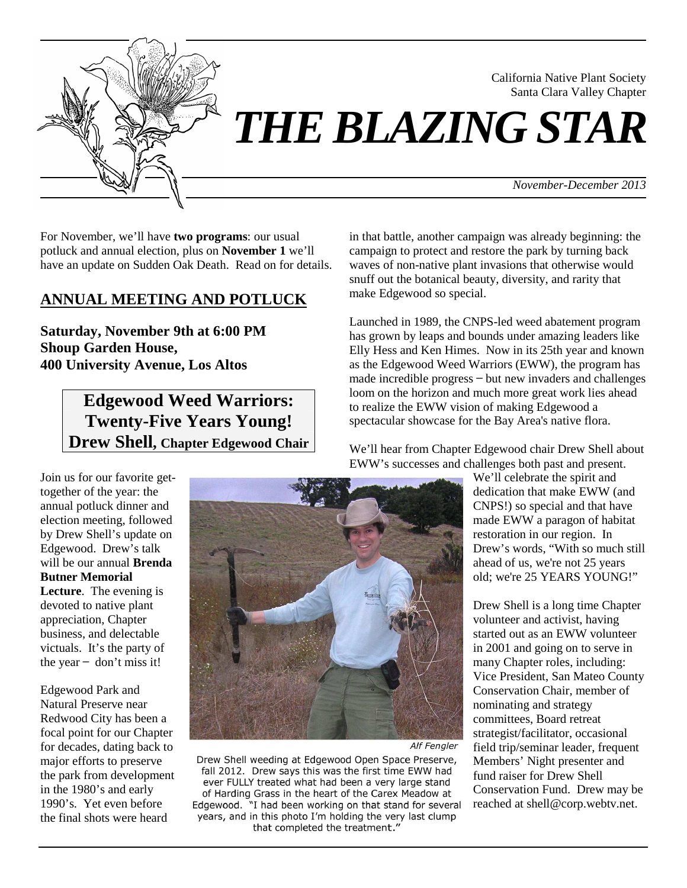

# *THE BLAZING STAR*

*November-December 2013*

California Native Plant Society Santa Clara Valley Chapter

For November, we'll have **two programs**: our usual potluck and annual election, plus on **November 1** we'll have an update on Sudden Oak Death. Read on for details.

# **ANNUAL MEETING AND POTLUCK**

**Saturday, November 9th at 6:00 PM Shoup Garden House, 400 University Avenue, Los Altos** 

# **Edgewood Weed Warriors: Twenty-Five Years Young! Drew Shell, Chapter Edgewood Chair**

in that battle, another campaign was already beginning: the campaign to protect and restore the park by turning back waves of non-native plant invasions that otherwise would snuff out the botanical beauty, diversity, and rarity that make Edgewood so special.

Launched in 1989, the CNPS-led weed abatement program has grown by leaps and bounds under amazing leaders like Elly Hess and Ken Himes. Now in its 25th year and known as the Edgewood Weed Warriors (EWW), the program has made incredible progress – but new invaders and challenges loom on the horizon and much more great work lies ahead to realize the EWW vision of making Edgewood a spectacular showcase for the Bay Area's native flora.

We'll hear from Chapter Edgewood chair Drew Shell about EWW's successes and challenges both past and present.

Join us for our favorite gettogether of the year: the annual potluck dinner and election meeting, followed by Drew Shell's update on Edgewood. Drew's talk will be our annual **Brenda Butner Memorial Lecture**. The evening is devoted to native plant appreciation, Chapter business, and delectable victuals. It's the party of the year  $-$  don't miss it!

Edgewood Park and Natural Preserve near Redwood City has been a focal point for our Chapter for decades, dating back to major efforts to preserve the park from development in the 1980's and early 1990's. Yet even before the final shots were heard



Alf Fengler

Drew Shell weeding at Edgewood Open Space Preserve, fall 2012. Drew says this was the first time EWW had ever FULLY treated what had been a very large stand of Harding Grass in the heart of the Carex Meadow at Edgewood. "I had been working on that stand for several years, and in this photo I'm holding the very last clump that completed the treatment."

We'll celebrate the spirit and dedication that make EWW (and CNPS!) so special and that have made EWW a paragon of habitat restoration in our region. In Drew's words, "With so much still ahead of us, we're not 25 years old; we're 25 YEARS YOUNG!"

Drew Shell is a long time Chapter volunteer and activist, having started out as an EWW volunteer in 2001 and going on to serve in many Chapter roles, including: Vice President, San Mateo County Conservation Chair, member of nominating and strategy committees, Board retreat strategist/facilitator, occasional field trip/seminar leader, frequent Members' Night presenter and fund raiser for Drew Shell Conservation Fund. Drew may be reached at shell@corp.webtv.net.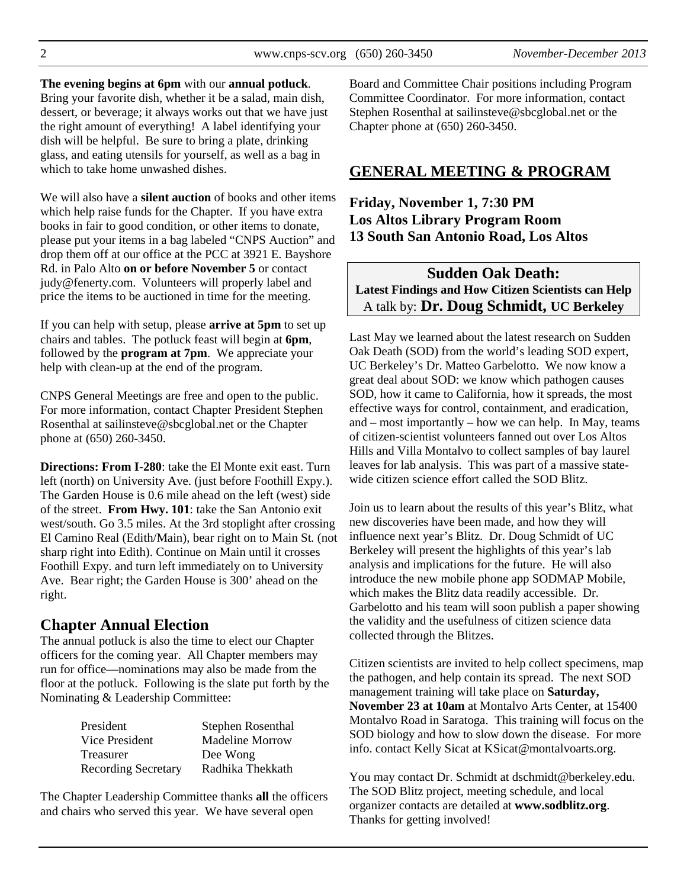**The evening begins at 6pm** with our **annual potluck**.

Bring your favorite dish, whether it be a salad, main dish, dessert, or beverage; it always works out that we have just the right amount of everything! A label identifying your dish will be helpful. Be sure to bring a plate, drinking glass, and eating utensils for yourself, as well as a bag in which to take home unwashed dishes.

We will also have a **silent auction** of books and other items which help raise funds for the Chapter. If you have extra books in fair to good condition, or other items to donate, please put your items in a bag labeled "CNPS Auction" and drop them off at our office at the PCC at 3921 E. Bayshore Rd. in Palo Alto **on or before November 5** or contact judy@fenerty.com.Volunteers will properly label and price the items to be auctioned in time for the meeting.

If you can help with setup, please **arrive at 5pm** to set up chairs and tables. The potluck feast will begin at **6pm**, followed by the **program at 7pm**. We appreciate your help with clean-up at the end of the program.

CNPS General Meetings are free and open to the public. For more information, contact Chapter President Stephen Rosenthal at sailinsteve@sbcglobal.net or the Chapter phone at (650) 260-3450.

**Directions: From I-280**: take the El Monte exit east. Turn left (north) on University Ave. (just before Foothill Expy.). The Garden House is 0.6 mile ahead on the left (west) side of the street. **From Hwy. 101**: take the San Antonio exit west/south. Go 3.5 miles. At the 3rd stoplight after crossing El Camino Real (Edith/Main), bear right on to Main St. (not sharp right into Edith). Continue on Main until it crosses Foothill Expy. and turn left immediately on to University Ave. Bear right; the Garden House is 300' ahead on the right.

# **Chapter Annual Election**

The annual potluck is also the time to elect our Chapter officers for the coming year. All Chapter members may run for office—nominations may also be made from the floor at the potluck. Following is the slate put forth by the Nominating & Leadership Committee:

| President                  | Stephen Rosenthal |  |
|----------------------------|-------------------|--|
| Vice President             | Madeline Morrow   |  |
| Treasurer                  | Dee Wong          |  |
| <b>Recording Secretary</b> | Radhika Thekkath  |  |

The Chapter Leadership Committee thanks **all** the officers and chairs who served this year. We have several open

Board and Committee Chair positions including Program Committee Coordinator. For more information, contact Stephen Rosenthal at sailinsteve@sbcglobal.net or the Chapter phone at (650) 260-3450.

# **GENERAL MEETING & PROGRAM**

## **Friday, November 1, 7:30 PM Los Altos Library Program Room 13 South San Antonio Road, Los Altos**

# **Sudden Oak Death: Latest Findings and How Citizen Scientists can Help** A talk by: **Dr. Doug Schmidt, UC Berkeley**

Last May we learned about the latest research on Sudden Oak Death (SOD) from the world's leading SOD expert, UC Berkeley's Dr. Matteo Garbelotto. We now know a great deal about SOD: we know which pathogen causes SOD, how it came to California, how it spreads, the most effective ways for control, containment, and eradication, and – most importantly – how we can help. In May, teams of citizen-scientist volunteers fanned out over Los Altos Hills and Villa Montalvo to collect samples of bay laurel leaves for lab analysis. This was part of a massive statewide citizen science effort called the SOD Blitz.

Join us to learn about the results of this year's Blitz, what new discoveries have been made, and how they will influence next year's Blitz. Dr. Doug Schmidt of UC Berkeley will present the highlights of this year's lab analysis and implications for the future. He will also introduce the new mobile phone app SODMAP Mobile, which makes the Blitz data readily accessible. Dr. Garbelotto and his team will soon publish a paper showing the validity and the usefulness of citizen science data collected through the Blitzes.

Citizen scientists are invited to help collect specimens, map the pathogen, and help contain its spread. The next SOD management training will take place on **Saturday, November 23 at 10am** at Montalvo Arts Center, at 15400 Montalvo Road in Saratoga. This training will focus on the SOD biology and how to slow down the disease. For more info. contact Kelly Sicat at KSicat@montalvoarts.org.

You may contact Dr. Schmidt at dschmidt@berkeley.edu. The SOD Blitz project, meeting schedule, and local organizer contacts are detailed at **www.sodblitz.org**. Thanks for getting involved!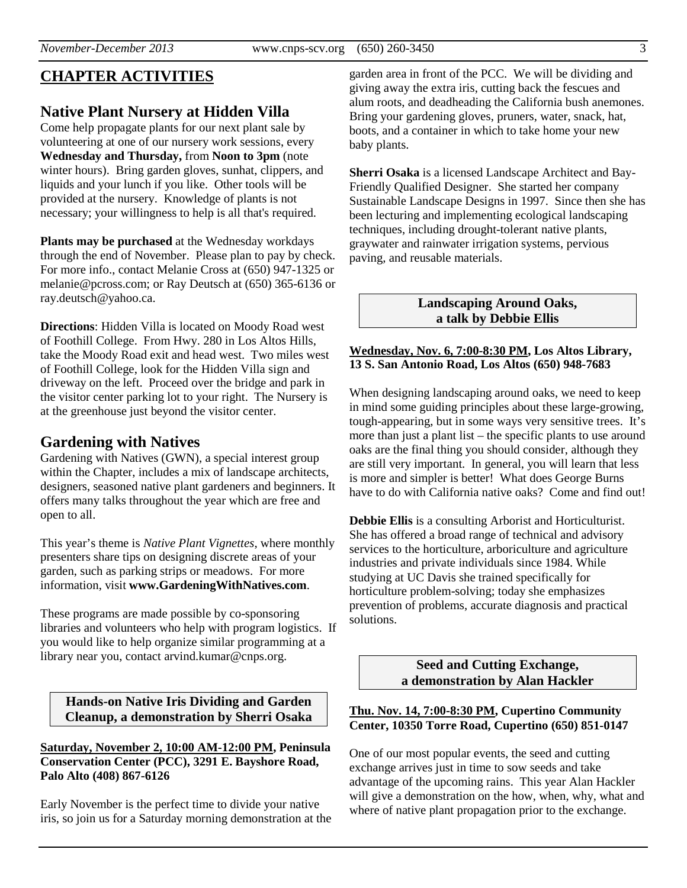# **CHAPTER ACTIVITIES**

# **Native Plant Nursery at Hidden Villa**

Come help propagate plants for our next plant sale by volunteering at one of our nursery work sessions, every **Wednesday and Thursday,** from **Noon to 3pm** (note winter hours). Bring garden gloves, sunhat, clippers, and liquids and your lunch if you like. Other tools will be provided at the nursery. Knowledge of plants is not necessary; your willingness to help is all that's required.

**Plants may be purchased** at the Wednesday workdays through the end of November. Please plan to pay by check. For more info., contact Melanie Cross at (650) 947-1325 or melanie@pcross.com; or Ray Deutsch at (650) 365-6136 or ray.deutsch@yahoo.ca.

**Directions**: Hidden Villa is located on Moody Road west of Foothill College. From Hwy. 280 in Los Altos Hills, take the Moody Road exit and head west. Two miles west of Foothill College, look for the Hidden Villa sign and driveway on the left. Proceed over the bridge and park in the visitor center parking lot to your right. The Nursery is at the greenhouse just beyond the visitor center.

## **Gardening with Natives**

Gardening with Natives (GWN), a special interest group within the Chapter, includes a mix of landscape architects, designers, seasoned native plant gardeners and beginners. It offers many talks throughout the year which are free and open to all.

This year's theme is *Native Plant Vignettes*, where monthly presenters share tips on designing discrete areas of your garden, such as parking strips or meadows. For more information, visit **www.GardeningWithNatives.com**.

These programs are made possible by co-sponsoring libraries and volunteers who help with program logistics. If you would like to help organize similar programming at a library near you, contact arvind.kumar@cnps.org.

**Hands-on Native Iris Dividing and Garden Cleanup, a demonstration by Sherri Osaka** 

**Saturday, November 2, 10:00 AM-12:00 PM, Peninsula Conservation Center (PCC), 3291 E. Bayshore Road, Palo Alto (408) 867-6126** 

Early November is the perfect time to divide your native iris, so join us for a Saturday morning demonstration at the

garden area in front of the PCC. We will be dividing and giving away the extra iris, cutting back the fescues and alum roots, and deadheading the California bush anemones. Bring your gardening gloves, pruners, water, snack, hat, boots, and a container in which to take home your new baby plants.

**Sherri Osaka** is a licensed Landscape Architect and Bay-Friendly Qualified Designer. She started her company Sustainable Landscape Designs in 1997. Since then she has been lecturing and implementing ecological landscaping techniques, including drought-tolerant native plants, graywater and rainwater irrigation systems, pervious paving, and reusable materials.

#### **Landscaping Around Oaks, a talk by Debbie Ellis**

#### **Wednesday, Nov. 6, 7:00-8:30 PM, Los Altos Library, 13 S. San Antonio Road, Los Altos (650) 948-7683**

When designing landscaping around oaks, we need to keep in mind some guiding principles about these large-growing, tough-appearing, but in some ways very sensitive trees. It's more than just a plant list – the specific plants to use around oaks are the final thing you should consider, although they are still very important. In general, you will learn that less is more and simpler is better! What does George Burns have to do with California native oaks? Come and find out!

**Debbie Ellis** is a consulting Arborist and Horticulturist. She has offered a broad range of technical and advisory services to the horticulture, arboriculture and agriculture industries and private individuals since 1984. While studying at UC Davis she trained specifically for horticulture problem-solving; today she emphasizes prevention of problems, accurate diagnosis and practical solutions.

> **Seed and Cutting Exchange, a demonstration by Alan Hackler**

#### **Thu. Nov. 14, 7:00-8:30 PM, Cupertino Community Center, 10350 Torre Road, Cupertino (650) 851-0147**

One of our most popular events, the seed and cutting exchange arrives just in time to sow seeds and take advantage of the upcoming rains. This year Alan Hackler will give a demonstration on the how, when, why, what and where of native plant propagation prior to the exchange.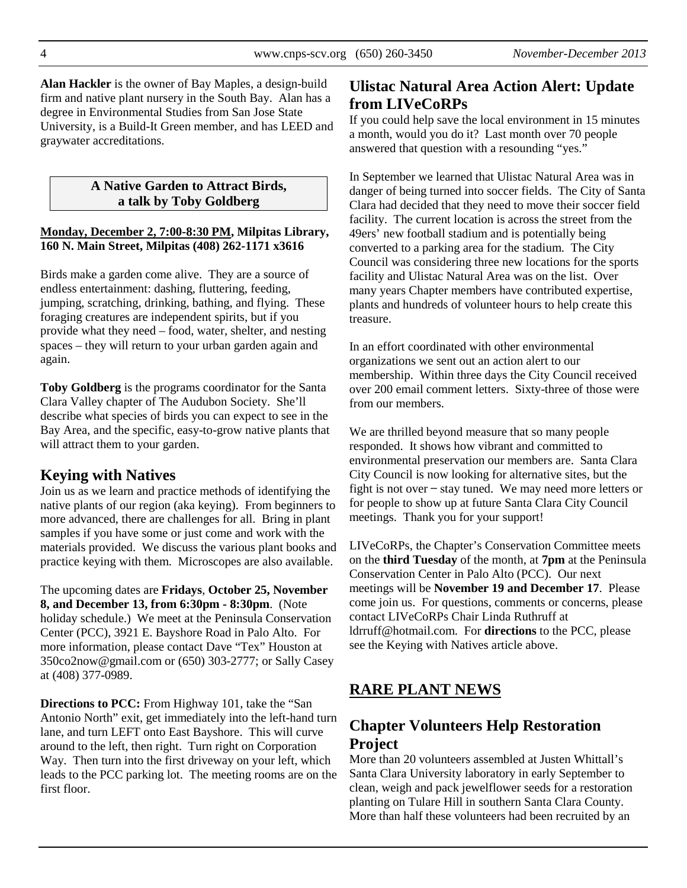**Alan Hackler** is the owner of Bay Maples, a design-build firm and native plant nursery in the South Bay. Alan has a degree in Environmental Studies from San Jose State University, is a Build-It Green member, and has LEED and graywater accreditations.

#### **A Native Garden to Attract Birds, a talk by Toby Goldberg**

#### **Monday, December 2, 7:00-8:30 PM, Milpitas Library, 160 N. Main Street, Milpitas (408) 262-1171 x3616**

Birds make a garden come alive. They are a source of endless entertainment: dashing, fluttering, feeding, jumping, scratching, drinking, bathing, and flying. These foraging creatures are independent spirits, but if you provide what they need – food, water, shelter, and nesting spaces – they will return to your urban garden again and again.

**Toby Goldberg** is the programs coordinator for the Santa Clara Valley chapter of The Audubon Society. She'll describe what species of birds you can expect to see in the Bay Area, and the specific, easy-to-grow native plants that will attract them to your garden.

## **Keying with Natives**

Join us as we learn and practice methods of identifying the native plants of our region (aka keying). From beginners to more advanced, there are challenges for all. Bring in plant samples if you have some or just come and work with the materials provided. We discuss the various plant books and practice keying with them. Microscopes are also available.

The upcoming dates are **Fridays**, **October 25, November 8, and December 13, from 6:30pm - 8:30pm**. (Note holiday schedule.) We meet at the Peninsula Conservation Center (PCC), 3921 E. Bayshore Road in Palo Alto. For more information, please contact Dave "Tex" Houston at 350co2now@gmail.com or (650) 303-2777; or Sally Casey at (408) 377-0989.

**Directions to PCC:** From Highway 101, take the "San Antonio North" exit, get immediately into the left-hand turn lane, and turn LEFT onto East Bayshore. This will curve around to the left, then right. Turn right on Corporation Way. Then turn into the first driveway on your left, which leads to the PCC parking lot. The meeting rooms are on the first floor.

# **Ulistac Natural Area Action Alert: Update from LIVeCoRPs**

If you could help save the local environment in 15 minutes a month, would you do it? Last month over 70 people answered that question with a resounding "yes."

In September we learned that Ulistac Natural Area was in danger of being turned into soccer fields. The City of Santa Clara had decided that they need to move their soccer field facility. The current location is across the street from the 49ers' new football stadium and is potentially being converted to a parking area for the stadium. The City Council was considering three new locations for the sports facility and Ulistac Natural Area was on the list. Over many years Chapter members have contributed expertise, plants and hundreds of volunteer hours to help create this treasure.

In an effort coordinated with other environmental organizations we sent out an action alert to our membership. Within three days the City Council received over 200 email comment letters. Sixty-three of those were from our members.

We are thrilled beyond measure that so many people responded. It shows how vibrant and committed to environmental preservation our members are. Santa Clara City Council is now looking for alternative sites, but the fight is not over ̶ stay tuned. We may need more letters or for people to show up at future Santa Clara City Council meetings. Thank you for your support!

LIVeCoRPs, the Chapter's Conservation Committee meets on the **third Tuesday** of the month, at **7pm** at the Peninsula Conservation Center in Palo Alto (PCC). Our next meetings will be **November 19 and December 17**. Please come join us. For questions, comments or concerns, please contact LIVeCoRPs Chair Linda Ruthruff at ldrruff@hotmail.com. For **directions** to the PCC, please see the Keying with Natives article above.

# **RARE PLANT NEWS**

# **Chapter Volunteers Help Restoration Project**

More than 20 volunteers assembled at Justen Whittall's Santa Clara University laboratory in early September to clean, weigh and pack jewelflower seeds for a restoration planting on Tulare Hill in southern Santa Clara County. More than half these volunteers had been recruited by an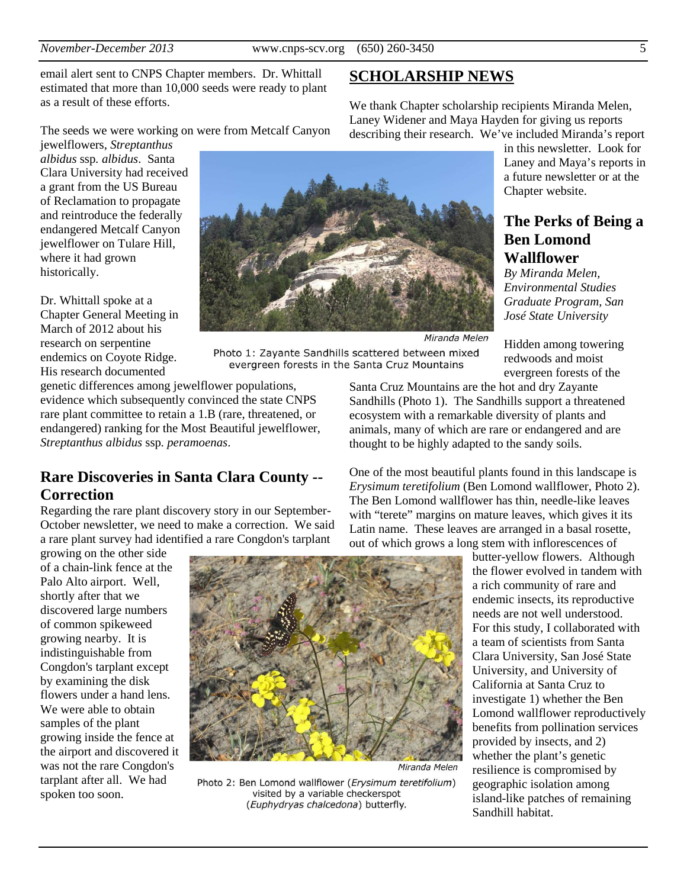**SCHOLARSHIP NEWS**

We thank Chapter scholarship recipients Miranda Melen, Laney Widener and Maya Hayden for giving us reports

email alert sent to CNPS Chapter members. Dr. Whittall estimated that more than 10,000 seeds were ready to plant as a result of these efforts.

The seeds we were working on were from Metcalf Canyon

jewelflowers, *Streptanthus albidus* ssp*. albidus*. Santa Clara University had received a grant from the US Bureau of Reclamation to propagate and reintroduce the federally endangered Metcalf Canyon jewelflower on Tulare Hill, where it had grown historically.

Dr. Whittall spoke at a Chapter General Meeting in March of 2012 about his research on serpentine endemics on Coyote Ridge. His research documented



describing their research. We've included Miranda's report in this newsletter. Look for Laney and Maya's reports in a future newsletter or at the Chapter website.

## **The Perks of Being a Ben Lomond Wallflower**

*By Miranda Melen, Environmental Studies Graduate Program, San José State University* 

Miranda Melen Hidden among towering redwoods and moist evergreen forests of the

Photo 1: Zayante Sandhills scattered between mixed evergreen forests in the Santa Cruz Mountains

genetic differences among jewelflower populations, evidence which subsequently convinced the state CNPS rare plant committee to retain a 1.B (rare, threatened, or endangered) ranking for the Most Beautiful jewelflower, *Streptanthus albidus* ssp*. peramoenas*.

# **Rare Discoveries in Santa Clara County -- Correction**

Regarding the rare plant discovery story in our September-October newsletter, we need to make a correction. We said a rare plant survey had identified a rare Congdon's tarplant

growing on the other side of a chain-link fence at the Palo Alto airport. Well, shortly after that we discovered large numbers of common spikeweed growing nearby. It is indistinguishable from Congdon's tarplant except by examining the disk flowers under a hand lens. We were able to obtain samples of the plant growing inside the fence at the airport and discovered it was not the rare Congdon's tarplant after all. We had spoken too soon.



Miranda Melen

Photo 2: Ben Lomond wallflower (Erysimum teretifolium) visited by a variable checkerspot (Euphydryas chalcedona) butterfly.

Santa Cruz Mountains are the hot and dry Zayante Sandhills (Photo 1). The Sandhills support a threatened ecosystem with a remarkable diversity of plants and animals, many of which are rare or endangered and are thought to be highly adapted to the sandy soils.

One of the most beautiful plants found in this landscape is *Erysimum teretifolium* (Ben Lomond wallflower, Photo 2). The Ben Lomond wallflower has thin, needle-like leaves with "terete" margins on mature leaves, which gives it its Latin name. These leaves are arranged in a basal rosette, out of which grows a long stem with inflorescences of

> butter-yellow flowers. Although the flower evolved in tandem with a rich community of rare and endemic insects, its reproductive needs are not well understood. For this study, I collaborated with a team of scientists from Santa Clara University, San José State University, and University of California at Santa Cruz to investigate 1) whether the Ben Lomond wallflower reproductively benefits from pollination services provided by insects, and 2) whether the plant's genetic resilience is compromised by geographic isolation among island-like patches of remaining Sandhill habitat.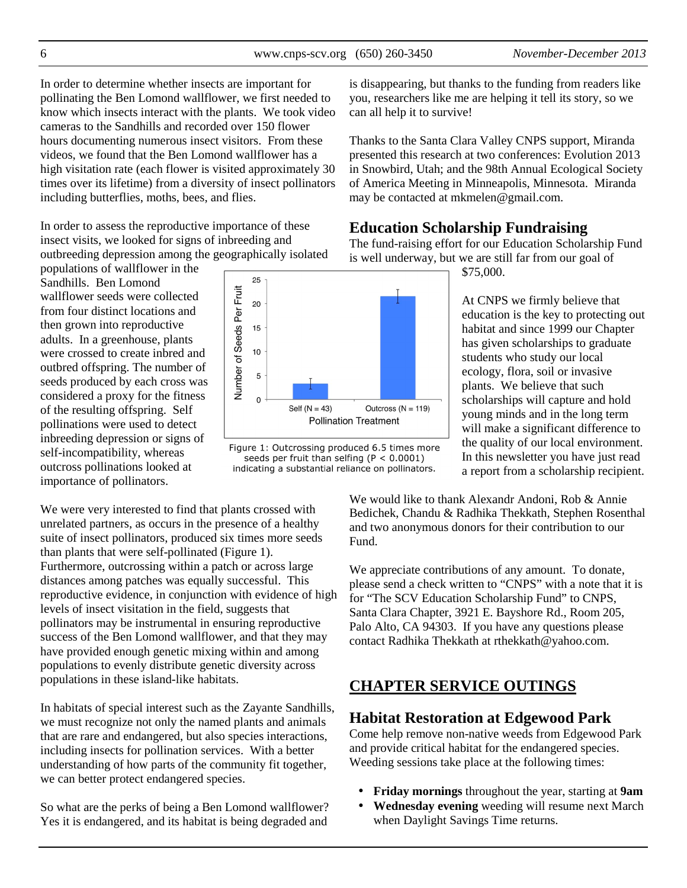In order to determine whether insects are important for pollinating the Ben Lomond wallflower, we first needed to know which insects interact with the plants. We took video cameras to the Sandhills and recorded over 150 flower hours documenting numerous insect visitors. From these videos, we found that the Ben Lomond wallflower has a high visitation rate (each flower is visited approximately 30) times over its lifetime) from a diversity of insect pollinators including butterflies, moths, bees, and flies.

In order to assess the reproductive importance of these insect visits, we looked for signs of inbreeding and outbreeding depression among the geographically isolated

populations of wallflower in the Sandhills. Ben Lomond wallflower seeds were collected from four distinct locations and then grown into reproductive adults. In a greenhouse, plants were crossed to create inbred and outbred offspring. The number of seeds produced by each cross was considered a proxy for the fitness of the resulting offspring. Self pollinations were used to detect inbreeding depression or signs of self-incompatibility, whereas outcross pollinations looked at importance of pollinators.

We were very interested to find that plants crossed with unrelated partners, as occurs in the presence of a healthy suite of insect pollinators, produced six times more seeds than plants that were self-pollinated (Figure 1). Furthermore, outcrossing within a patch or across large distances among patches was equally successful. This reproductive evidence, in conjunction with evidence of high levels of insect visitation in the field, suggests that pollinators may be instrumental in ensuring reproductive success of the Ben Lomond wallflower, and that they may have provided enough genetic mixing within and among populations to evenly distribute genetic diversity across populations in these island-like habitats.

In habitats of special interest such as the Zayante Sandhills, we must recognize not only the named plants and animals that are rare and endangered, but also species interactions, including insects for pollination services. With a better understanding of how parts of the community fit together, we can better protect endangered species.

So what are the perks of being a Ben Lomond wallflower? Yes it is endangered, and its habitat is being degraded and

is disappearing, but thanks to the funding from readers like you, researchers like me are helping it tell its story, so we can all help it to survive!

Thanks to the Santa Clara Valley CNPS support, Miranda presented this research at two conferences: Evolution 2013 in Snowbird, Utah; and the 98th Annual Ecological Society of America Meeting in Minneapolis, Minnesota. Miranda may be contacted at mkmelen@gmail.com.

## **Education Scholarship Fundraising**

The fund-raising effort for our Education Scholarship Fund is well underway, but we are still far from our goal of

\$75,000.

At CNPS we firmly believe that education is the key to protecting out habitat and since 1999 our Chapter has given scholarships to graduate students who study our local ecology, flora, soil or invasive plants. We believe that such scholarships will capture and hold young minds and in the long term will make a significant difference to the quality of our local environment. In this newsletter you have just read a report from a scholarship recipient.

We would like to thank Alexandr Andoni, Rob & Annie Bedichek, Chandu & Radhika Thekkath, Stephen Rosenthal and two anonymous donors for their contribution to our Fund.

We appreciate contributions of any amount. To donate, please send a check written to "CNPS" with a note that it is for "The SCV Education Scholarship Fund" to CNPS, Santa Clara Chapter, 3921 E. Bayshore Rd., Room 205, Palo Alto, CA 94303. If you have any questions please contact Radhika Thekkath at rthekkath@yahoo.com.

# **CHAPTER SERVICE OUTINGS**

## **Habitat Restoration at Edgewood Park**

Come help remove non-native weeds from Edgewood Park and provide critical habitat for the endangered species. Weeding sessions take place at the following times:

- **Friday mornings** throughout the year, starting at **9am**
- **Wednesday evening** weeding will resume next March when Daylight Savings Time returns.



Figure 1: Outcrossing produced 6.5 times more seeds per fruit than selfing ( $P < 0.0001$ ) indicating a substantial reliance on pollinators.

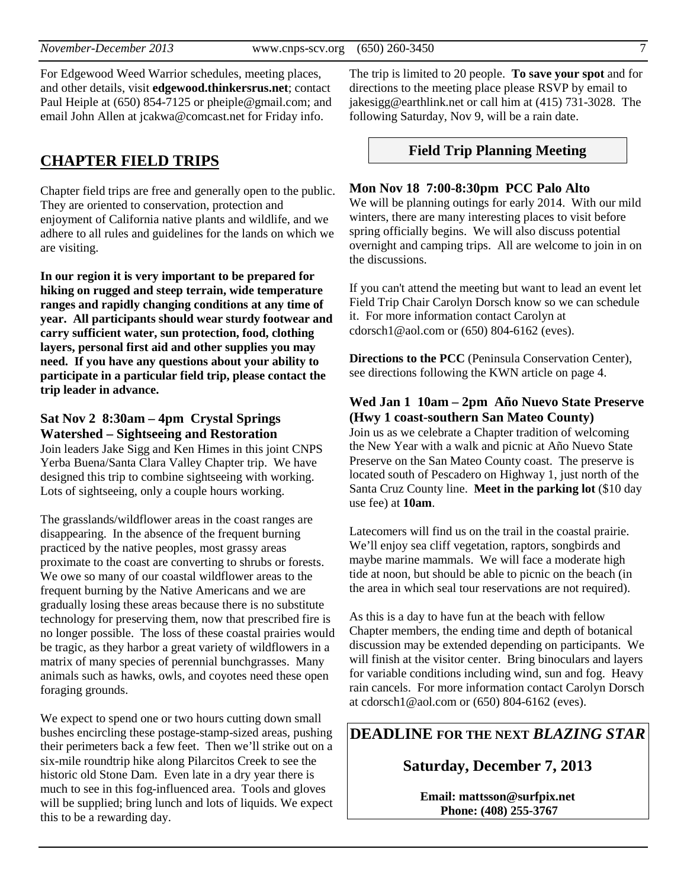For Edgewood Weed Warrior schedules, meeting places, and other details, visit **edgewood.thinkersrus.net**; contact Paul Heiple at (650) 854-7125 or pheiple@gmail.com; and email John Allen at jcakwa@comcast.net for Friday info.

## **CHAPTER FIELD TRIPS**

Chapter field trips are free and generally open to the public. They are oriented to conservation, protection and enjoyment of California native plants and wildlife, and we adhere to all rules and guidelines for the lands on which we are visiting.

**In our region it is very important to be prepared for hiking on rugged and steep terrain, wide temperature ranges and rapidly changing conditions at any time of year. All participants should wear sturdy footwear and carry sufficient water, sun protection, food, clothing layers, personal first aid and other supplies you may need. If you have any questions about your ability to participate in a particular field trip, please contact the trip leader in advance.** 

#### **Sat Nov 2 8:30am – 4pm Crystal Springs Watershed – Sightseeing and Restoration**

Join leaders Jake Sigg and Ken Himes in this joint CNPS Yerba Buena/Santa Clara Valley Chapter trip. We have designed this trip to combine sightseeing with working. Lots of sightseeing, only a couple hours working.

The grasslands/wildflower areas in the coast ranges are disappearing. In the absence of the frequent burning practiced by the native peoples, most grassy areas proximate to the coast are converting to shrubs or forests. We owe so many of our coastal wildflower areas to the frequent burning by the Native Americans and we are gradually losing these areas because there is no substitute technology for preserving them, now that prescribed fire is no longer possible. The loss of these coastal prairies would be tragic, as they harbor a great variety of wildflowers in a matrix of many species of perennial bunchgrasses. Many animals such as hawks, owls, and coyotes need these open foraging grounds.

We expect to spend one or two hours cutting down small bushes encircling these postage-stamp-sized areas, pushing their perimeters back a few feet. Then we'll strike out on a six-mile roundtrip hike along Pilarcitos Creek to see the historic old Stone Dam. Even late in a dry year there is much to see in this fog-influenced area. Tools and gloves will be supplied; bring lunch and lots of liquids. We expect this to be a rewarding day.

The trip is limited to 20 people. **To save your spot** and for directions to the meeting place please RSVP by email to jakesigg@earthlink.net or call him at (415) 731-3028. The following Saturday, Nov 9, will be a rain date.

#### **Field Trip Planning Meeting**

#### **Mon Nov 18 7:00-8:30pm PCC Palo Alto**

We will be planning outings for early 2014. With our mild winters, there are many interesting places to visit before spring officially begins. We will also discuss potential overnight and camping trips. All are welcome to join in on the discussions.

If you can't attend the meeting but want to lead an event let Field Trip Chair Carolyn Dorsch know so we can schedule it. For more information contact Carolyn at cdorsch1@aol.com or (650) 804-6162 (eves).

**Directions to the PCC** (Peninsula Conservation Center), see directions following the KWN article on page 4.

#### **Wed Jan 1 10am – 2pm Año Nuevo State Preserve (Hwy 1 coast-southern San Mateo County)**

Join us as we celebrate a Chapter tradition of welcoming the New Year with a walk and picnic at Año Nuevo State Preserve on the San Mateo County coast. The preserve is located south of Pescadero on Highway 1, just north of the Santa Cruz County line. **Meet in the parking lot** (\$10 day use fee) at **10am**.

Latecomers will find us on the trail in the coastal prairie. We'll enjoy sea cliff vegetation, raptors, songbirds and maybe marine mammals. We will face a moderate high tide at noon, but should be able to picnic on the beach (in the area in which seal tour reservations are not required).

As this is a day to have fun at the beach with fellow Chapter members, the ending time and depth of botanical discussion may be extended depending on participants. We will finish at the visitor center. Bring binoculars and layers for variable conditions including wind, sun and fog. Heavy rain cancels. For more information contact Carolyn Dorsch at cdorsch1@aol.com or (650) 804-6162 (eves).

## **DEADLINE FOR THE NEXT** *BLAZING STAR*

# **Saturday, December 7, 2013**

**Email: mattsson@surfpix.net Phone: (408) 255-3767**